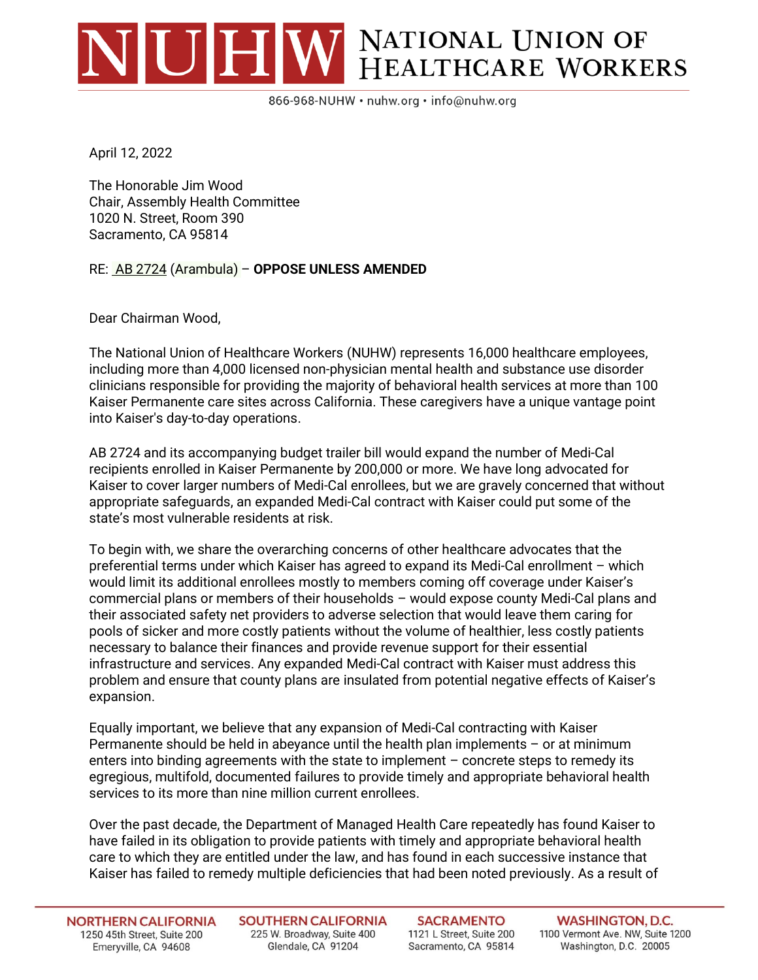## VUHW NATIONAL UNION OF HEALTHCARE WORKERS

866-968-NUHW · nuhw.org · info@nuhw.org

April 12, 2022

The Honorable Jim Wood Chair, Assembly Health Committee 1020 N. Street, Room 390 Sacramento, CA 95814

RE: AB 2724 (Arambula) – **OPPOSE UNLESS AMENDED**

Dear Chairman Wood,

The National Union of Healthcare Workers (NUHW) represents 16,000 healthcare employees, including more than 4,000 licensed non-physician mental health and substance use disorder clinicians responsible for providing the majority of behavioral health services at more than 100 Kaiser Permanente care sites across California. These caregivers have a unique vantage point into Kaiser's day-to-day operations.

AB 2724 and its accompanying budget trailer bill would expand the number of Medi-Cal recipients enrolled in Kaiser Permanente by 200,000 or more. We have long advocated for Kaiser to cover larger numbers of Medi-Cal enrollees, but we are gravely concerned that without appropriate safeguards, an expanded Medi-Cal contract with Kaiser could put some of the state's most vulnerable residents at risk.

To begin with, we share the overarching concerns of other healthcare advocates that the preferential terms under which Kaiser has agreed to expand its Medi-Cal enrollment – which would limit its additional enrollees mostly to members coming off coverage under Kaiser's commercial plans or members of their households – would expose county Medi-Cal plans and their associated safety net providers to adverse selection that would leave them caring for pools of sicker and more costly patients without the volume of healthier, less costly patients necessary to balance their finances and provide revenue support for their essential infrastructure and services. Any expanded Medi-Cal contract with Kaiser must address this problem and ensure that county plans are insulated from potential negative effects of Kaiser's expansion.

Equally important, we believe that any expansion of Medi-Cal contracting with Kaiser Permanente should be held in abeyance until the health plan implements – or at minimum enters into binding agreements with the state to implement – concrete steps to remedy its egregious, multifold, documented failures to provide timely and appropriate behavioral health services to its more than nine million current enrollees.

Over the past decade, the Department of Managed Health Care repeatedly has found Kaiser to have failed in its obligation to provide patients with timely and appropriate behavioral health care to which they are entitled under the law, and has found in each successive instance that Kaiser has failed to remedy multiple deficiencies that had been noted previously. As a result of

**NORTHERN CALIFORNIA** 1250 45th Street, Suite 200 Emeryville, CA 94608

**SOUTHERN CALIFORNIA** 225 W. Broadway, Suite 400 Glendale, CA 91204

**SACRAMENTO** 1121 L Street, Suite 200 Sacramento, CA 95814

**WASHINGTON, D.C.** 1100 Vermont Ave. NW, Suite 1200 Washington, D.C. 20005